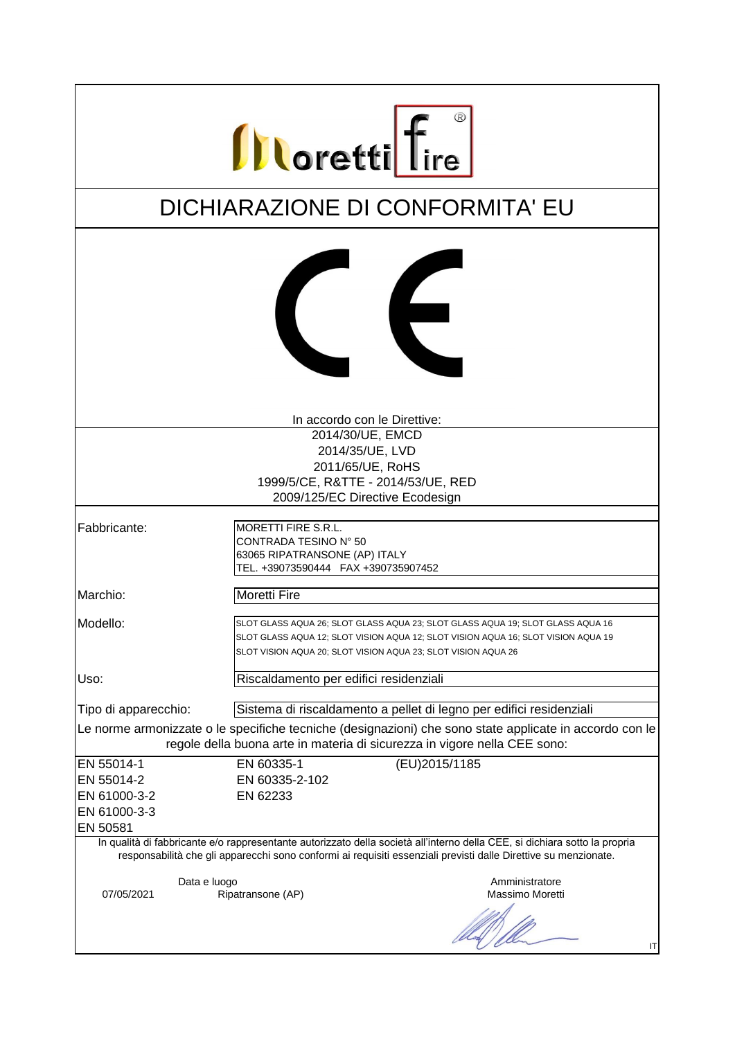|                                                                                                                                                                                                                                               | <b>Illoretti</b> fire                                                                                                                                                                                                                |  |  |
|-----------------------------------------------------------------------------------------------------------------------------------------------------------------------------------------------------------------------------------------------|--------------------------------------------------------------------------------------------------------------------------------------------------------------------------------------------------------------------------------------|--|--|
|                                                                                                                                                                                                                                               |                                                                                                                                                                                                                                      |  |  |
|                                                                                                                                                                                                                                               | DICHIARAZIONE DI CONFORMITA' EU                                                                                                                                                                                                      |  |  |
|                                                                                                                                                                                                                                               | $\epsilon$                                                                                                                                                                                                                           |  |  |
|                                                                                                                                                                                                                                               | In accordo con le Direttive:<br>2014/30/UE, EMCD                                                                                                                                                                                     |  |  |
|                                                                                                                                                                                                                                               | 2014/35/UE, LVD<br>2011/65/UE, RoHS                                                                                                                                                                                                  |  |  |
|                                                                                                                                                                                                                                               | 1999/5/CE, R&TTE - 2014/53/UE, RED                                                                                                                                                                                                   |  |  |
|                                                                                                                                                                                                                                               | 2009/125/EC Directive Ecodesign                                                                                                                                                                                                      |  |  |
| Fabbricante:                                                                                                                                                                                                                                  | MORETTI FIRE S.R.L.<br>CONTRADA TESINO N° 50<br>63065 RIPATRANSONE (AP) ITALY<br>TEL. +39073590444 FAX +390735907452                                                                                                                 |  |  |
| Marchio:                                                                                                                                                                                                                                      | <b>Moretti Fire</b>                                                                                                                                                                                                                  |  |  |
| <b>IModello:</b>                                                                                                                                                                                                                              | SLOT GLASS AQUA 26; SLOT GLASS AQUA 23; SLOT GLASS AQUA 19; SLOT GLASS AQUA 16<br>SLOT GLASS AQUA 12; SLOT VISION AQUA 12; SLOT VISION AQUA 16; SLOT VISION AQUA 19<br>SLOT VISION AQUA 20; SLOT VISION AQUA 23; SLOT VISION AQUA 26 |  |  |
| Uso:                                                                                                                                                                                                                                          | Riscaldamento per edifici residenziali                                                                                                                                                                                               |  |  |
| Tipo di apparecchio:                                                                                                                                                                                                                          | Sistema di riscaldamento a pellet di legno per edifici residenziali                                                                                                                                                                  |  |  |
|                                                                                                                                                                                                                                               | Le norme armonizzate o le specifiche tecniche (designazioni) che sono state applicate in accordo con le                                                                                                                              |  |  |
| regole della buona arte in materia di sicurezza in vigore nella CEE sono:                                                                                                                                                                     |                                                                                                                                                                                                                                      |  |  |
| EN 55014-1                                                                                                                                                                                                                                    | (EU)2015/1185<br>EN 60335-1                                                                                                                                                                                                          |  |  |
| EN 55014-2<br>EN 61000-3-2                                                                                                                                                                                                                    | EN 60335-2-102<br>EN 62233                                                                                                                                                                                                           |  |  |
| EN 61000-3-3                                                                                                                                                                                                                                  |                                                                                                                                                                                                                                      |  |  |
| EN 50581                                                                                                                                                                                                                                      |                                                                                                                                                                                                                                      |  |  |
| In qualità di fabbricante e/o rappresentante autorizzato della società all'interno della CEE, si dichiara sotto la propria<br>responsabilità che gli apparecchi sono conformi ai requisiti essenziali previsti dalle Direttive su menzionate. |                                                                                                                                                                                                                                      |  |  |
| Data e luogo<br>07/05/2021                                                                                                                                                                                                                    | Amministratore<br>Massimo Moretti<br>Ripatransone (AP)                                                                                                                                                                               |  |  |
|                                                                                                                                                                                                                                               | ΙT                                                                                                                                                                                                                                   |  |  |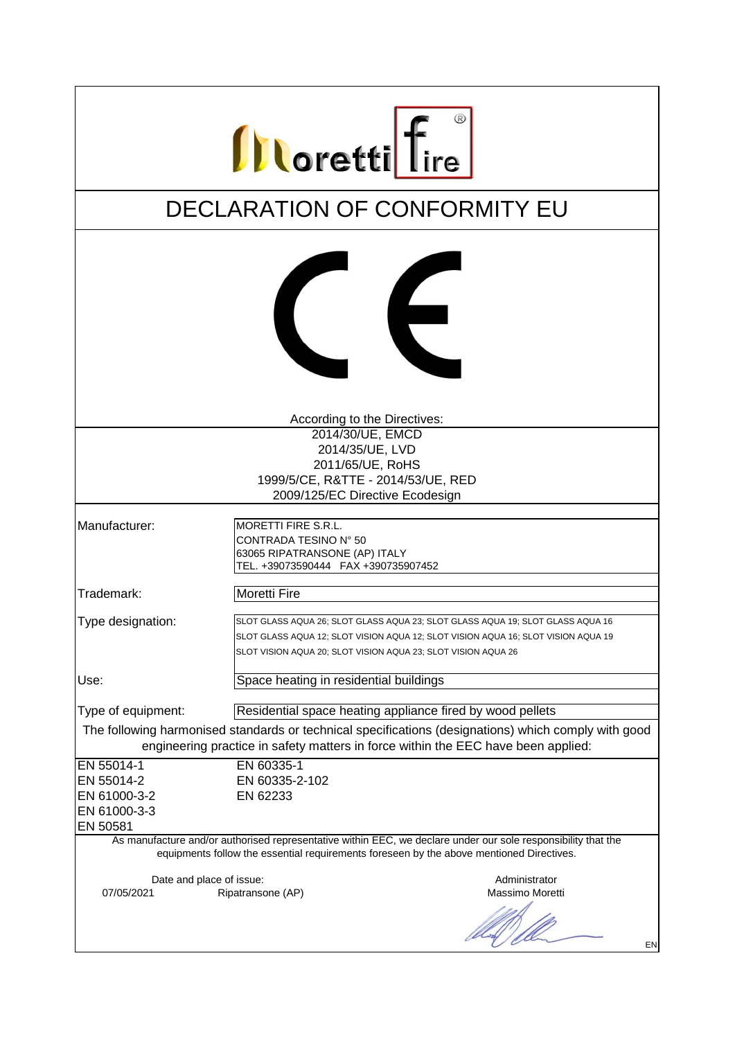| <b>Illoretti</b> fire                                                                    |                                                                                                                      |                                                                                                                                                                                                                                      |
|------------------------------------------------------------------------------------------|----------------------------------------------------------------------------------------------------------------------|--------------------------------------------------------------------------------------------------------------------------------------------------------------------------------------------------------------------------------------|
|                                                                                          |                                                                                                                      | DECLARATION OF CONFORMITY EU                                                                                                                                                                                                         |
|                                                                                          |                                                                                                                      | $\epsilon$                                                                                                                                                                                                                           |
|                                                                                          | According to the Directives:                                                                                         |                                                                                                                                                                                                                                      |
|                                                                                          | 2014/30/UE, EMCD                                                                                                     |                                                                                                                                                                                                                                      |
|                                                                                          | 2014/35/UE, LVD                                                                                                      |                                                                                                                                                                                                                                      |
|                                                                                          | 2011/65/UE, RoHS<br>1999/5/CE, R&TTE - 2014/53/UE, RED                                                               |                                                                                                                                                                                                                                      |
|                                                                                          | 2009/125/EC Directive Ecodesign                                                                                      |                                                                                                                                                                                                                                      |
|                                                                                          |                                                                                                                      |                                                                                                                                                                                                                                      |
| Manufacturer:                                                                            | MORETTI FIRE S.R.L.<br>CONTRADA TESINO N° 50<br>63065 RIPATRANSONE (AP) ITALY<br>TEL. +39073590444 FAX +390735907452 |                                                                                                                                                                                                                                      |
| Trademark:                                                                               | <b>Moretti Fire</b>                                                                                                  |                                                                                                                                                                                                                                      |
| Type designation:                                                                        |                                                                                                                      | SLOT GLASS AQUA 26; SLOT GLASS AQUA 23; SLOT GLASS AQUA 19; SLOT GLASS AQUA 16<br>SLOT GLASS AQUA 12; SLOT VISION AQUA 12; SLOT VISION AQUA 16; SLOT VISION AQUA 19<br>SLOT VISION AQUA 20; SLOT VISION AQUA 23; SLOT VISION AQUA 26 |
| Use:                                                                                     | Space heating in residential buildings                                                                               |                                                                                                                                                                                                                                      |
| Type of equipment:                                                                       |                                                                                                                      | Residential space heating appliance fired by wood pellets                                                                                                                                                                            |
|                                                                                          |                                                                                                                      | The following harmonised standards or technical specifications (designations) which comply with good                                                                                                                                 |
| engineering practice in safety matters in force within the EEC have been applied:        |                                                                                                                      |                                                                                                                                                                                                                                      |
| EN 55014-1                                                                               | EN 60335-1                                                                                                           |                                                                                                                                                                                                                                      |
| EN 55014-2                                                                               | EN 60335-2-102                                                                                                       |                                                                                                                                                                                                                                      |
| EN 61000-3-2                                                                             | EN 62233                                                                                                             |                                                                                                                                                                                                                                      |
| EN 61000-3-3<br>EN 50581                                                                 |                                                                                                                      |                                                                                                                                                                                                                                      |
|                                                                                          |                                                                                                                      | As manufacture and/or authorised representative within EEC, we declare under our sole responsibility that the                                                                                                                        |
| equipments follow the essential requirements foreseen by the above mentioned Directives. |                                                                                                                      |                                                                                                                                                                                                                                      |
| Date and place of issue:<br>07/05/2021                                                   | Ripatransone (AP)                                                                                                    | Administrator<br>Massimo Moretti                                                                                                                                                                                                     |
|                                                                                          |                                                                                                                      | EN                                                                                                                                                                                                                                   |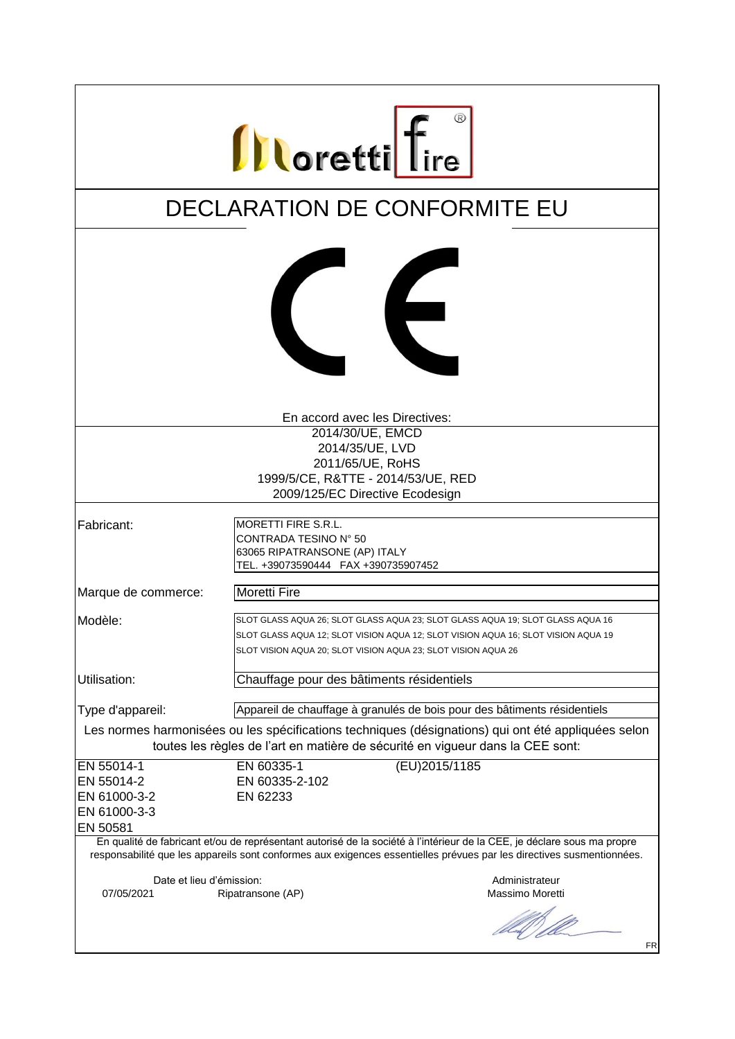| <b>Illoretti</b> fire                                                                                                                                                                                                                                        |                                                                                                                                                                                                                                      |  |  |
|--------------------------------------------------------------------------------------------------------------------------------------------------------------------------------------------------------------------------------------------------------------|--------------------------------------------------------------------------------------------------------------------------------------------------------------------------------------------------------------------------------------|--|--|
|                                                                                                                                                                                                                                                              | DECLARATION DE CONFORMITE EU                                                                                                                                                                                                         |  |  |
|                                                                                                                                                                                                                                                              | ∈                                                                                                                                                                                                                                    |  |  |
|                                                                                                                                                                                                                                                              | En accord avec les Directives:                                                                                                                                                                                                       |  |  |
|                                                                                                                                                                                                                                                              | 2014/30/UE, EMCD                                                                                                                                                                                                                     |  |  |
|                                                                                                                                                                                                                                                              | 2014/35/UE, LVD                                                                                                                                                                                                                      |  |  |
|                                                                                                                                                                                                                                                              | 2011/65/UE, RoHS<br>1999/5/CE, R&TTE - 2014/53/UE, RED                                                                                                                                                                               |  |  |
|                                                                                                                                                                                                                                                              | 2009/125/EC Directive Ecodesign                                                                                                                                                                                                      |  |  |
|                                                                                                                                                                                                                                                              |                                                                                                                                                                                                                                      |  |  |
| Fabricant:                                                                                                                                                                                                                                                   | <b>MORETTI FIRE S.R.L.</b><br>CONTRADA TESINO N° 50<br>63065 RIPATRANSONE (AP) ITALY<br>TEL. +39073590444 FAX +390735907452                                                                                                          |  |  |
| Marque de commerce:                                                                                                                                                                                                                                          | <b>Moretti Fire</b>                                                                                                                                                                                                                  |  |  |
| Modèle:                                                                                                                                                                                                                                                      | SLOT GLASS AQUA 26; SLOT GLASS AQUA 23; SLOT GLASS AQUA 19; SLOT GLASS AQUA 16<br>SLOT GLASS AQUA 12; SLOT VISION AQUA 12; SLOT VISION AQUA 16; SLOT VISION AQUA 19<br>SLOT VISION AQUA 20; SLOT VISION AQUA 23; SLOT VISION AQUA 26 |  |  |
| Utilisation:                                                                                                                                                                                                                                                 | Chauffage pour des bâtiments résidentiels                                                                                                                                                                                            |  |  |
| Type d'appareil:                                                                                                                                                                                                                                             | Appareil de chauffage à granulés de bois pour des bâtiments résidentiels                                                                                                                                                             |  |  |
| Les normes harmonisées ou les spécifications techniques (désignations) qui ont été appliquées selon<br>toutes les règles de l'art en matière de sécurité en vigueur dans la CEE sont:                                                                        |                                                                                                                                                                                                                                      |  |  |
| EN 55014-1                                                                                                                                                                                                                                                   | (EU)2015/1185<br>EN 60335-1                                                                                                                                                                                                          |  |  |
| EN 55014-2                                                                                                                                                                                                                                                   | EN 60335-2-102                                                                                                                                                                                                                       |  |  |
| EN 61000-3-2                                                                                                                                                                                                                                                 | EN 62233                                                                                                                                                                                                                             |  |  |
| EN 61000-3-3                                                                                                                                                                                                                                                 |                                                                                                                                                                                                                                      |  |  |
| EN 50581<br>En qualité de fabricant et/ou de représentant autorisé de la société à l'intérieur de la CEE, je déclare sous ma propre<br>responsabilité que les appareils sont conformes aux exigences essentielles prévues par les directives susmentionnées. |                                                                                                                                                                                                                                      |  |  |
| Date et lieu d'émission:<br>07/05/2021                                                                                                                                                                                                                       | Administrateur<br>Massimo Moretti<br>Ripatransone (AP)                                                                                                                                                                               |  |  |
|                                                                                                                                                                                                                                                              | FR                                                                                                                                                                                                                                   |  |  |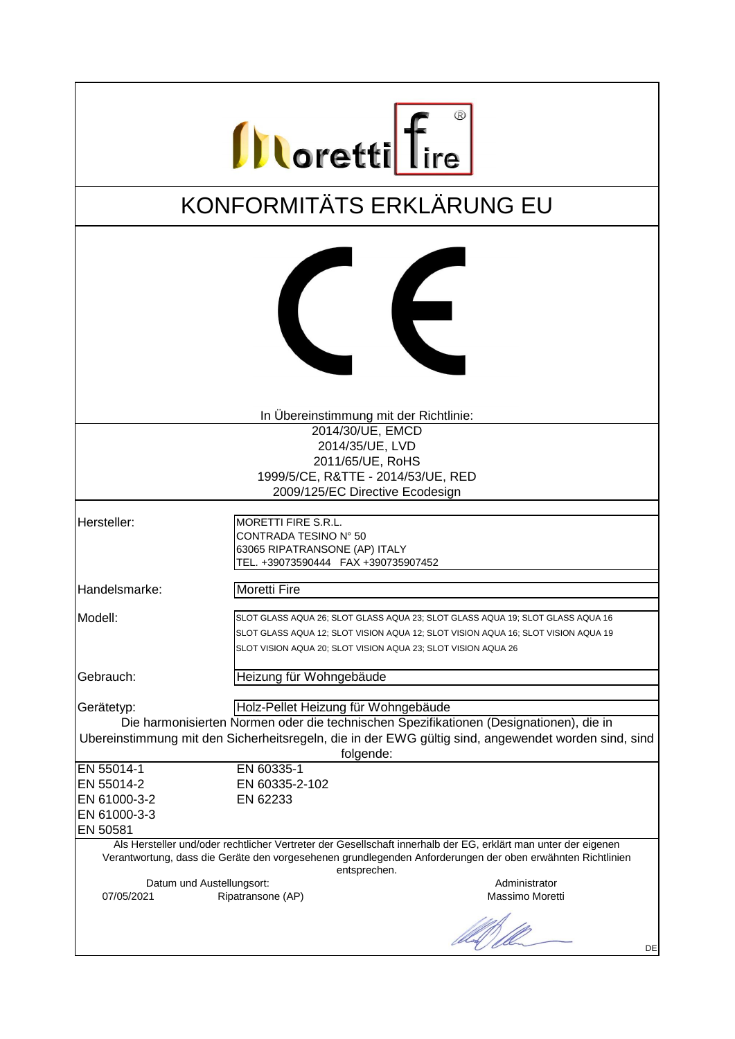| <b>Illoretti</b> fire                                                                                                                                                                                      |                                                                                                                                                                                                                                      |                 |
|------------------------------------------------------------------------------------------------------------------------------------------------------------------------------------------------------------|--------------------------------------------------------------------------------------------------------------------------------------------------------------------------------------------------------------------------------------|-----------------|
| KONFORMITÄTS ERKLÄRUNG EU                                                                                                                                                                                  |                                                                                                                                                                                                                                      |                 |
|                                                                                                                                                                                                            | $\epsilon$                                                                                                                                                                                                                           |                 |
|                                                                                                                                                                                                            | In Übereinstimmung mit der Richtlinie:                                                                                                                                                                                               |                 |
|                                                                                                                                                                                                            | 2014/30/UE, EMCD                                                                                                                                                                                                                     |                 |
|                                                                                                                                                                                                            | 2014/35/UE, LVD                                                                                                                                                                                                                      |                 |
|                                                                                                                                                                                                            | 2011/65/UE, RoHS                                                                                                                                                                                                                     |                 |
|                                                                                                                                                                                                            | 1999/5/CE, R&TTE - 2014/53/UE, RED                                                                                                                                                                                                   |                 |
|                                                                                                                                                                                                            | 2009/125/EC Directive Ecodesign                                                                                                                                                                                                      |                 |
| Hersteller:                                                                                                                                                                                                | MORETTI FIRE S.R.L.<br>CONTRADA TESINO N° 50<br>63065 RIPATRANSONE (AP) ITALY<br>TEL. +39073590444 FAX +390735907452                                                                                                                 |                 |
| Handelsmarke:                                                                                                                                                                                              | <b>Moretti Fire</b>                                                                                                                                                                                                                  |                 |
| Modell:                                                                                                                                                                                                    | SLOT GLASS AQUA 26; SLOT GLASS AQUA 23; SLOT GLASS AQUA 19; SLOT GLASS AQUA 16<br>SLOT GLASS AQUA 12; SLOT VISION AQUA 12; SLOT VISION AQUA 16; SLOT VISION AQUA 19<br>SLOT VISION AQUA 20; SLOT VISION AQUA 23; SLOT VISION AQUA 26 |                 |
| Gebrauch:                                                                                                                                                                                                  | Heizung für Wohngebäude                                                                                                                                                                                                              |                 |
| Gerätetyp:                                                                                                                                                                                                 | Holz-Pellet Heizung für Wohngebäude                                                                                                                                                                                                  |                 |
| Die harmonisierten Normen oder die technischen Spezifikationen (Designationen), die in<br>Ubereinstimmung mit den Sicherheitsregeln, die in der EWG gültig sind, angewendet worden sind, sind<br>folgende: |                                                                                                                                                                                                                                      |                 |
| EN 55014-1                                                                                                                                                                                                 | EN 60335-1                                                                                                                                                                                                                           |                 |
| EN 55014-2                                                                                                                                                                                                 | EN 60335-2-102                                                                                                                                                                                                                       |                 |
| EN 61000-3-2                                                                                                                                                                                               | EN 62233                                                                                                                                                                                                                             |                 |
| EN 61000-3-3<br>EN 50581                                                                                                                                                                                   |                                                                                                                                                                                                                                      |                 |
|                                                                                                                                                                                                            | Als Hersteller und/oder rechtlicher Vertreter der Gesellschaft innerhalb der EG, erklärt man unter der eigenen<br>Verantwortung, dass die Geräte den vorgesehenen grundlegenden Anforderungen der oben erwähnten Richtlinien         |                 |
| Datum und Austellungsort:                                                                                                                                                                                  | entsprechen.                                                                                                                                                                                                                         | Administrator   |
| 07/05/2021                                                                                                                                                                                                 | Ripatransone (AP)                                                                                                                                                                                                                    | Massimo Moretti |
|                                                                                                                                                                                                            |                                                                                                                                                                                                                                      | DE              |
|                                                                                                                                                                                                            |                                                                                                                                                                                                                                      |                 |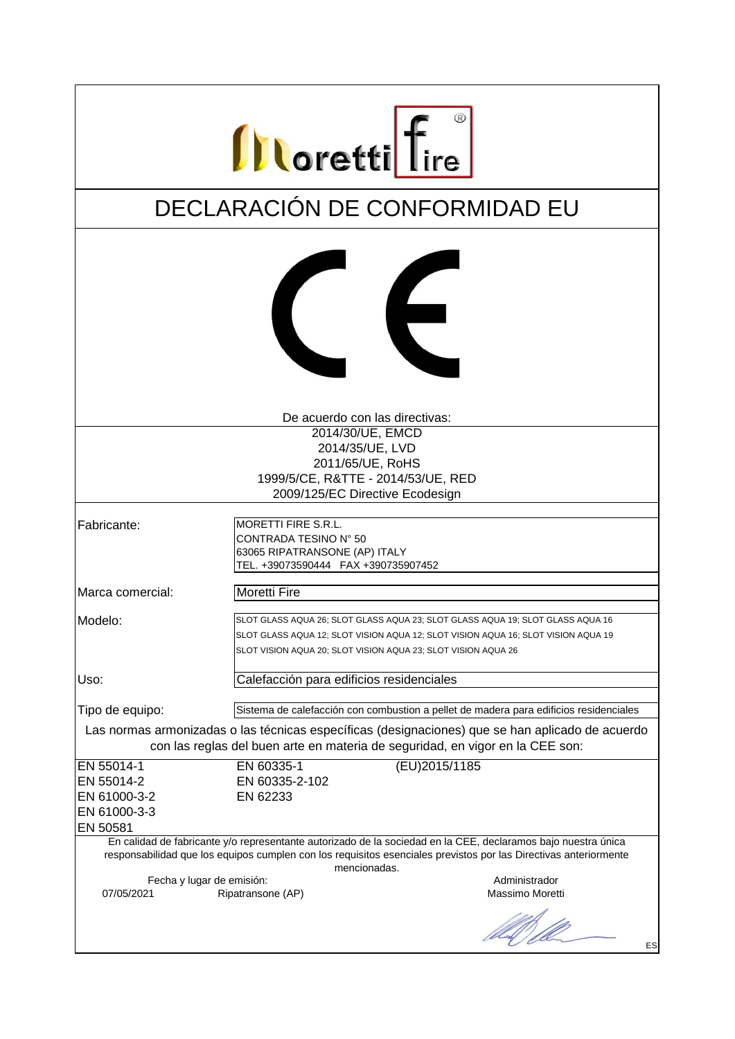| <b>Illoretti</b> fire                                                                                                                                                                                                                         |                                                                                                                                                                                                                                      |  |  |
|-----------------------------------------------------------------------------------------------------------------------------------------------------------------------------------------------------------------------------------------------|--------------------------------------------------------------------------------------------------------------------------------------------------------------------------------------------------------------------------------------|--|--|
|                                                                                                                                                                                                                                               | DECLARACIÓN DE CONFORMIDAD EU                                                                                                                                                                                                        |  |  |
|                                                                                                                                                                                                                                               | $\epsilon$                                                                                                                                                                                                                           |  |  |
|                                                                                                                                                                                                                                               | De acuerdo con las directivas:                                                                                                                                                                                                       |  |  |
|                                                                                                                                                                                                                                               | 2014/30/UE, EMCD                                                                                                                                                                                                                     |  |  |
|                                                                                                                                                                                                                                               | 2014/35/UE, LVD                                                                                                                                                                                                                      |  |  |
|                                                                                                                                                                                                                                               | 2011/65/UE, RoHS                                                                                                                                                                                                                     |  |  |
|                                                                                                                                                                                                                                               | 1999/5/CE, R&TTE - 2014/53/UE, RED                                                                                                                                                                                                   |  |  |
|                                                                                                                                                                                                                                               | 2009/125/EC Directive Ecodesign                                                                                                                                                                                                      |  |  |
| Fabricante:                                                                                                                                                                                                                                   | MORETTI FIRE S.R.L.<br>CONTRADA TESINO N° 50<br>63065 RIPATRANSONE (AP) ITALY<br>TEL. +39073590444 FAX +390735907452                                                                                                                 |  |  |
| Marca comercial:                                                                                                                                                                                                                              | <b>Moretti Fire</b>                                                                                                                                                                                                                  |  |  |
| Modelo:                                                                                                                                                                                                                                       | SLOT GLASS AQUA 26; SLOT GLASS AQUA 23; SLOT GLASS AQUA 19; SLOT GLASS AQUA 16<br>SLOT GLASS AQUA 12; SLOT VISION AQUA 12; SLOT VISION AQUA 16; SLOT VISION AQUA 19<br>SLOT VISION AQUA 20; SLOT VISION AQUA 23; SLOT VISION AQUA 26 |  |  |
| Uso:                                                                                                                                                                                                                                          | Calefacción para edificios residenciales                                                                                                                                                                                             |  |  |
| Tipo de equipo:                                                                                                                                                                                                                               | Sistema de calefacción con combustion a pellet de madera para edificios residenciales                                                                                                                                                |  |  |
| Las normas armonizadas o las técnicas específicas (designaciones) que se han aplicado de acuerdo<br>con las reglas del buen arte en materia de seguridad, en vigor en la CEE son:                                                             |                                                                                                                                                                                                                                      |  |  |
| EN 55014-1                                                                                                                                                                                                                                    | (EU)2015/1185<br>EN 60335-1                                                                                                                                                                                                          |  |  |
| EN 55014-2                                                                                                                                                                                                                                    | EN 60335-2-102                                                                                                                                                                                                                       |  |  |
| EN 61000-3-2                                                                                                                                                                                                                                  | EN 62233                                                                                                                                                                                                                             |  |  |
| EN 61000-3-3                                                                                                                                                                                                                                  |                                                                                                                                                                                                                                      |  |  |
| EN 50581<br>En calidad de fabricante y/o representante autorizado de la sociedad en la CEE, declaramos bajo nuestra única<br>responsabilidad que los equipos cumplen con los requisitos esenciales previstos por las Directivas anteriormente |                                                                                                                                                                                                                                      |  |  |
| Fecha y lugar de emisión:<br>07/05/2021                                                                                                                                                                                                       | mencionadas.<br>Administrador<br>Massimo Moretti<br>Ripatransone (AP)                                                                                                                                                                |  |  |
|                                                                                                                                                                                                                                               | ES                                                                                                                                                                                                                                   |  |  |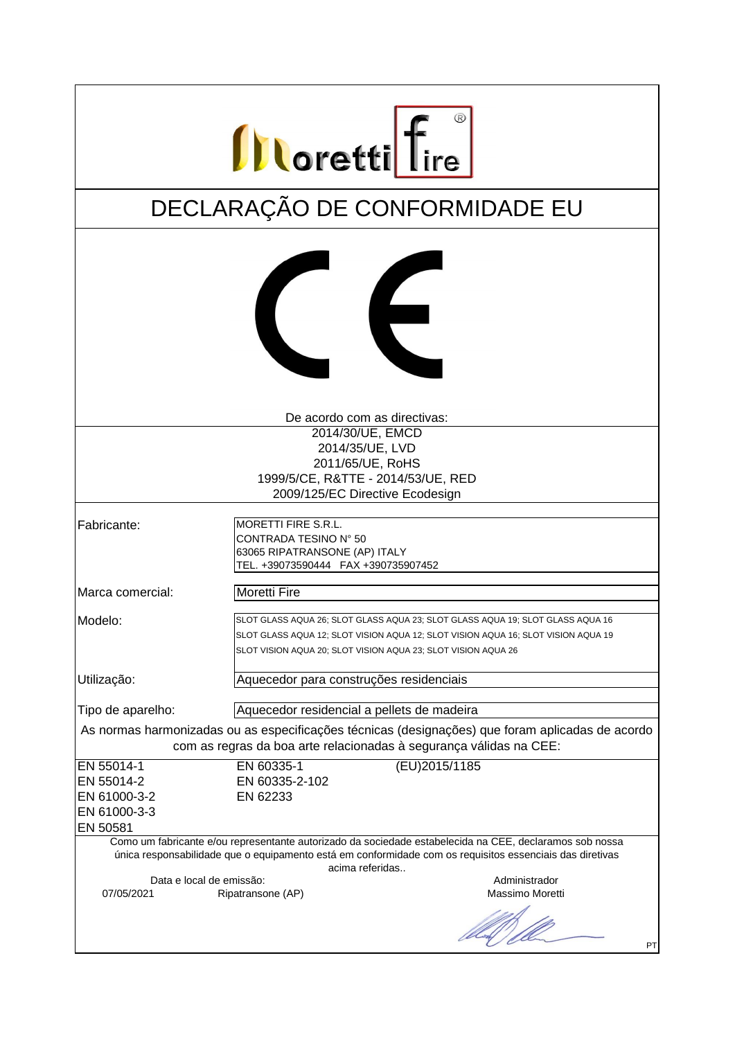| <b>Illoretti</b> fire                                                                                                                                                                                               |                                                                                                                                                    |  |  |
|---------------------------------------------------------------------------------------------------------------------------------------------------------------------------------------------------------------------|----------------------------------------------------------------------------------------------------------------------------------------------------|--|--|
|                                                                                                                                                                                                                     | DECLARAÇÃO DE CONFORMIDADE EU                                                                                                                      |  |  |
|                                                                                                                                                                                                                     |                                                                                                                                                    |  |  |
|                                                                                                                                                                                                                     | $\epsilon$                                                                                                                                         |  |  |
|                                                                                                                                                                                                                     | De acordo com as directivas:                                                                                                                       |  |  |
|                                                                                                                                                                                                                     | 2014/30/UE, EMCD                                                                                                                                   |  |  |
|                                                                                                                                                                                                                     | 2014/35/UE, LVD                                                                                                                                    |  |  |
|                                                                                                                                                                                                                     | 2011/65/UE, RoHS<br>1999/5/CE, R&TTE - 2014/53/UE, RED                                                                                             |  |  |
|                                                                                                                                                                                                                     | 2009/125/EC Directive Ecodesign                                                                                                                    |  |  |
|                                                                                                                                                                                                                     |                                                                                                                                                    |  |  |
| Fabricante:                                                                                                                                                                                                         | <b>MORETTI FIRE S.R.L.</b><br>CONTRADA TESINO N° 50<br>63065 RIPATRANSONE (AP) ITALY<br>TEL. +39073590444 FAX +390735907452                        |  |  |
| Marca comercial:                                                                                                                                                                                                    | <b>Moretti Fire</b>                                                                                                                                |  |  |
| Modelo:                                                                                                                                                                                                             | SLOT GLASS AQUA 26; SLOT GLASS AQUA 23; SLOT GLASS AQUA 19; SLOT GLASS AQUA 16                                                                     |  |  |
|                                                                                                                                                                                                                     | SLOT GLASS AQUA 12; SLOT VISION AQUA 12; SLOT VISION AQUA 16; SLOT VISION AQUA 19<br>SLOT VISION AQUA 20; SLOT VISION AQUA 23; SLOT VISION AQUA 26 |  |  |
| Utilização:                                                                                                                                                                                                         | Aquecedor para construções residenciais                                                                                                            |  |  |
| Tipo de aparelho:                                                                                                                                                                                                   | Aquecedor residencial a pellets de madeira                                                                                                         |  |  |
| As normas harmonizadas ou as especificações técnicas (designações) que foram aplicadas de acordo<br>com as regras da boa arte relacionadas à segurança válidas na CEE:                                              |                                                                                                                                                    |  |  |
| EN 55014-1                                                                                                                                                                                                          | EN 60335-1<br>(EU)2015/1185                                                                                                                        |  |  |
| EN 55014-2                                                                                                                                                                                                          | EN 60335-2-102                                                                                                                                     |  |  |
| EN 61000-3-2                                                                                                                                                                                                        | EN 62233                                                                                                                                           |  |  |
| EN 61000-3-3<br>EN 50581                                                                                                                                                                                            |                                                                                                                                                    |  |  |
| Como um fabricante e/ou representante autorizado da sociedade estabelecida na CEE, declaramos sob nossa<br>única responsabilidade que o equipamento está em conformidade com os requisitos essenciais das diretivas |                                                                                                                                                    |  |  |
| Data e local de emissão:                                                                                                                                                                                            | acima referidas<br>Administrador                                                                                                                   |  |  |
| 07/05/2021                                                                                                                                                                                                          | Massimo Moretti<br>Ripatransone (AP)                                                                                                               |  |  |
|                                                                                                                                                                                                                     | PT                                                                                                                                                 |  |  |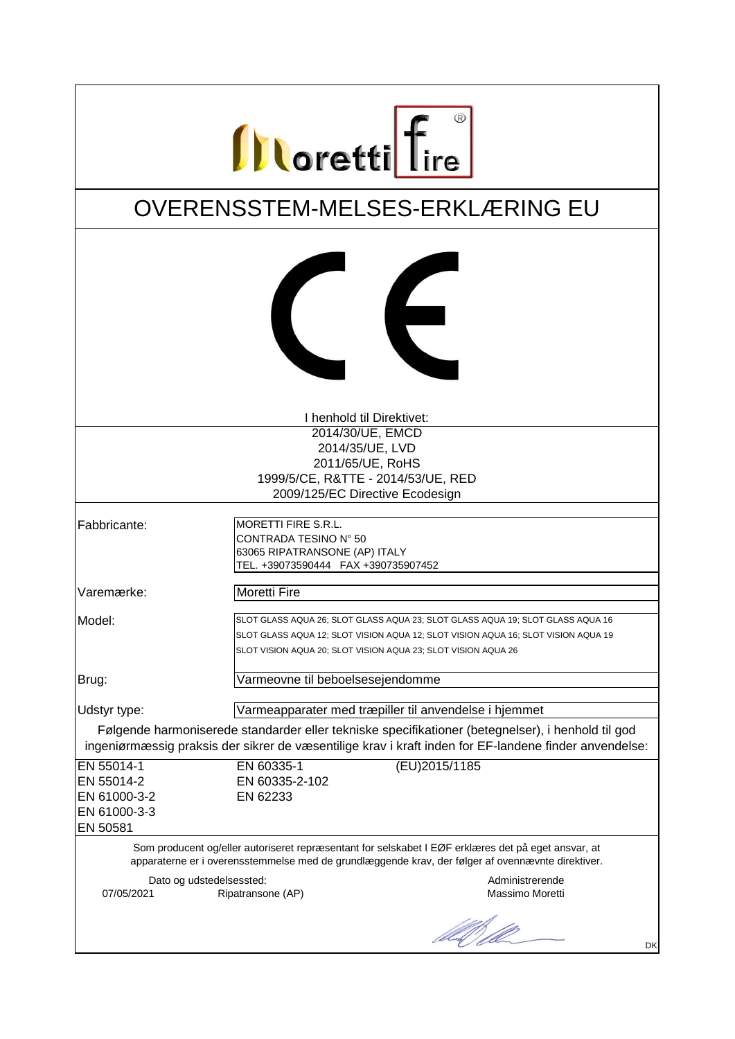| <b>Illoretti</b> fire                                                                                                                                                                                      |                                                                                                                                                                                                                                      |                                    |
|------------------------------------------------------------------------------------------------------------------------------------------------------------------------------------------------------------|--------------------------------------------------------------------------------------------------------------------------------------------------------------------------------------------------------------------------------------|------------------------------------|
| OVERENSSTEM-MELSES-ERKLÆRING EU                                                                                                                                                                            |                                                                                                                                                                                                                                      |                                    |
|                                                                                                                                                                                                            | $\epsilon$                                                                                                                                                                                                                           |                                    |
|                                                                                                                                                                                                            | I henhold til Direktivet:                                                                                                                                                                                                            |                                    |
|                                                                                                                                                                                                            | 2014/30/UE, EMCD                                                                                                                                                                                                                     |                                    |
|                                                                                                                                                                                                            | 2014/35/UE, LVD                                                                                                                                                                                                                      |                                    |
|                                                                                                                                                                                                            | 2011/65/UE, RoHS                                                                                                                                                                                                                     |                                    |
|                                                                                                                                                                                                            | 1999/5/CE, R&TTE - 2014/53/UE, RED                                                                                                                                                                                                   |                                    |
|                                                                                                                                                                                                            | 2009/125/EC Directive Ecodesign                                                                                                                                                                                                      |                                    |
| Fabbricante:                                                                                                                                                                                               | <b>MORETTI FIRE S.R.L.</b><br>CONTRADA TESINO N° 50<br>63065 RIPATRANSONE (AP) ITALY<br>TEL. +39073590444 FAX +390735907452                                                                                                          |                                    |
| Varemærke:                                                                                                                                                                                                 | <b>Moretti Fire</b>                                                                                                                                                                                                                  |                                    |
| Model:                                                                                                                                                                                                     | SLOT GLASS AQUA 26; SLOT GLASS AQUA 23; SLOT GLASS AQUA 19; SLOT GLASS AQUA 16<br>SLOT GLASS AQUA 12; SLOT VISION AQUA 12; SLOT VISION AQUA 16; SLOT VISION AQUA 19<br>SLOT VISION AQUA 20; SLOT VISION AQUA 23; SLOT VISION AQUA 26 |                                    |
| Brug:                                                                                                                                                                                                      | Varmeovne til beboelsesejendomme                                                                                                                                                                                                     |                                    |
| Udstyr type:                                                                                                                                                                                               | Varmeapparater med træpiller til anvendelse i hjemmet                                                                                                                                                                                |                                    |
|                                                                                                                                                                                                            |                                                                                                                                                                                                                                      |                                    |
| Følgende harmoniserede standarder eller tekniske specifikationer (betegnelser), i henhold til god<br>ingeniørmæssig praksis der sikrer de væsentilige krav i kraft inden for EF-landene finder anvendelse: |                                                                                                                                                                                                                                      |                                    |
| EN 55014-1                                                                                                                                                                                                 | (EU)2015/1185<br>EN 60335-1                                                                                                                                                                                                          |                                    |
| EN 55014-2                                                                                                                                                                                                 | EN 60335-2-102                                                                                                                                                                                                                       |                                    |
| EN 61000-3-2                                                                                                                                                                                               | EN 62233                                                                                                                                                                                                                             |                                    |
| EN 61000-3-3                                                                                                                                                                                               |                                                                                                                                                                                                                                      |                                    |
| EN 50581                                                                                                                                                                                                   |                                                                                                                                                                                                                                      |                                    |
| Som producent og/eller autoriseret repræsentant for selskabet I EØF erklæres det på eget ansvar, at<br>apparaterne er i overensstemmelse med de grundlæggende krav, der følger af ovennævnte direktiver.   |                                                                                                                                                                                                                                      |                                    |
| Dato og udstedelsessted:<br>07/05/2021                                                                                                                                                                     | Ripatransone (AP)                                                                                                                                                                                                                    | Administrerende<br>Massimo Moretti |
|                                                                                                                                                                                                            |                                                                                                                                                                                                                                      | DK                                 |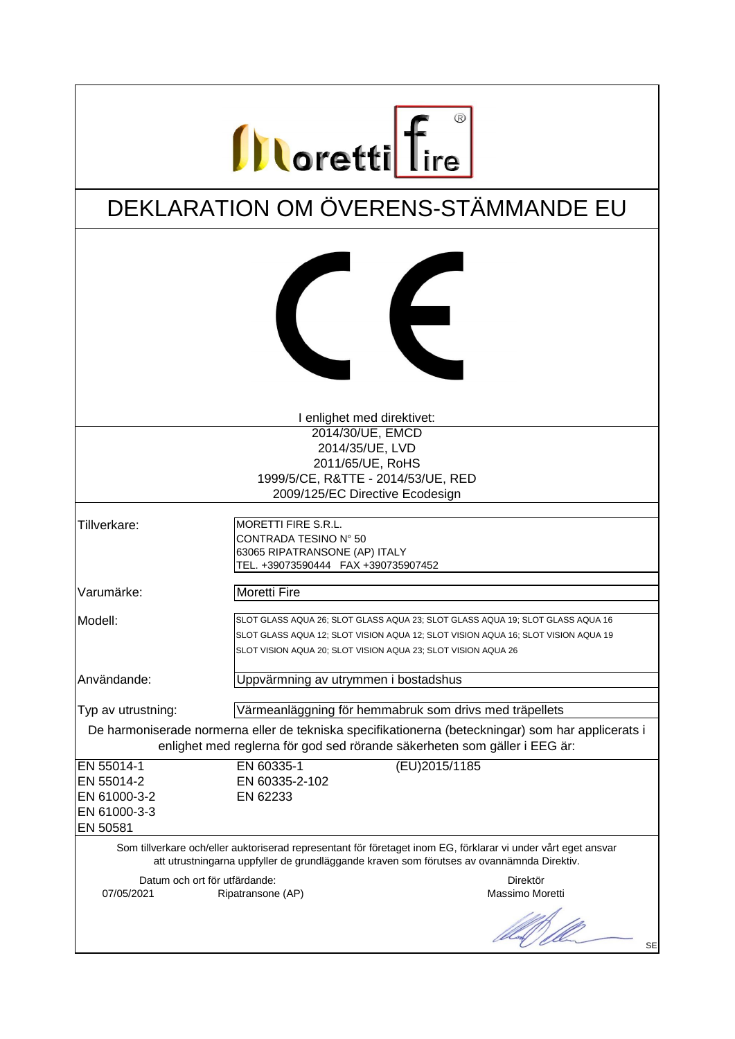| <b>Illoretti</b> fire                                                                                                                                                                                                                |  |  |
|--------------------------------------------------------------------------------------------------------------------------------------------------------------------------------------------------------------------------------------|--|--|
| DEKLARATION OM ÖVERENS-STÄMMANDE EU                                                                                                                                                                                                  |  |  |
| $\epsilon$                                                                                                                                                                                                                           |  |  |
| I enlighet med direktivet:                                                                                                                                                                                                           |  |  |
| 2014/30/UE, EMCD                                                                                                                                                                                                                     |  |  |
| 2014/35/UE, LVD                                                                                                                                                                                                                      |  |  |
| 2011/65/UE, RoHS                                                                                                                                                                                                                     |  |  |
| 1999/5/CE, R&TTE - 2014/53/UE, RED<br>2009/125/EC Directive Ecodesign                                                                                                                                                                |  |  |
|                                                                                                                                                                                                                                      |  |  |
| MORETTI FIRE S.R.L.<br>CONTRADA TESINO N° 50<br>63065 RIPATRANSONE (AP) ITALY<br>TEL. +39073590444 FAX +390735907452                                                                                                                 |  |  |
| <b>Moretti Fire</b>                                                                                                                                                                                                                  |  |  |
| SLOT GLASS AQUA 26; SLOT GLASS AQUA 23; SLOT GLASS AQUA 19; SLOT GLASS AQUA 16<br>SLOT GLASS AQUA 12; SLOT VISION AQUA 12; SLOT VISION AQUA 16; SLOT VISION AQUA 19<br>SLOT VISION AQUA 20; SLOT VISION AQUA 23; SLOT VISION AQUA 26 |  |  |
| Uppvärmning av utrymmen i bostadshus                                                                                                                                                                                                 |  |  |
|                                                                                                                                                                                                                                      |  |  |
| Värmeanläggning för hemmabruk som drivs med träpellets                                                                                                                                                                               |  |  |
| De harmoniserade normerna eller de tekniska specifikationerna (beteckningar) som har applicerats i<br>enlighet med reglerna för god sed rörande säkerheten som gäller i EEG är:                                                      |  |  |
| (EU)2015/1185<br>EN 60335-1                                                                                                                                                                                                          |  |  |
| EN 60335-2-102                                                                                                                                                                                                                       |  |  |
| EN 62233                                                                                                                                                                                                                             |  |  |
|                                                                                                                                                                                                                                      |  |  |
| Som tillverkare och/eller auktoriserad representant för företaget inom EG, förklarar vi under vårt eget ansvar<br>att utrustningarna uppfyller de grundläggande kraven som förutses av ovannämnda Direktiv.                          |  |  |
| Datum och ort för utfärdande:<br>Direktör                                                                                                                                                                                            |  |  |
| Massimo Moretti<br>Ripatransone (AP)                                                                                                                                                                                                 |  |  |
| <b>SE</b>                                                                                                                                                                                                                            |  |  |
|                                                                                                                                                                                                                                      |  |  |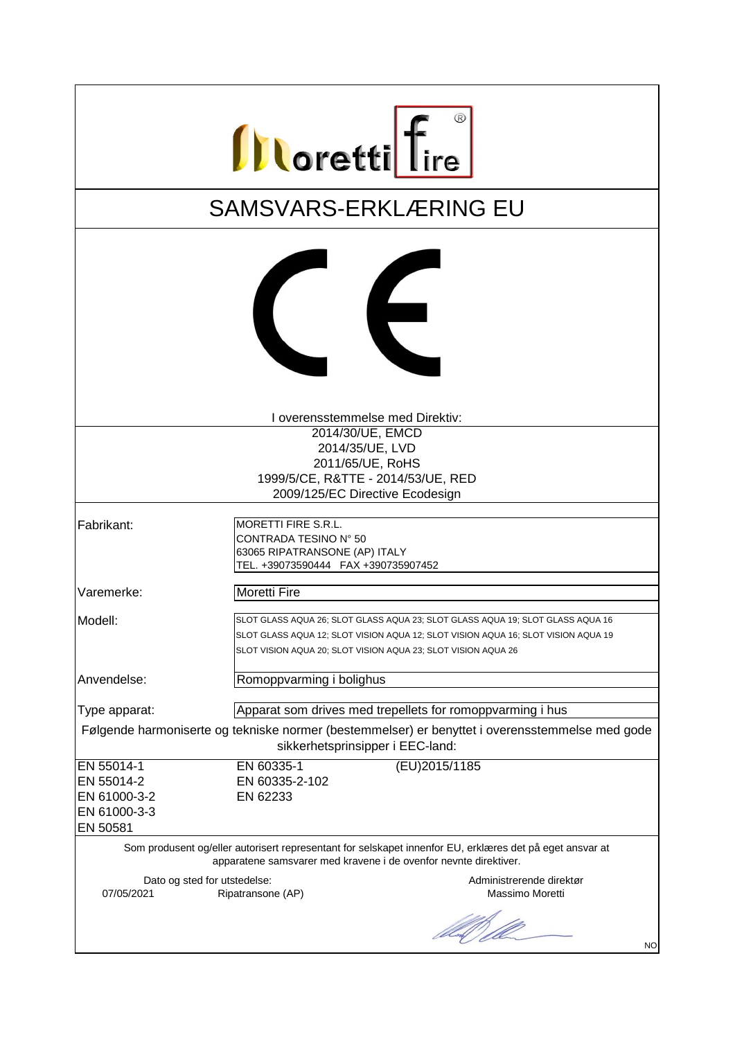| <b>Illoretti</b> fire                                                                                                                                                                    |                                                                                                                                                                                                                                      |  |  |
|------------------------------------------------------------------------------------------------------------------------------------------------------------------------------------------|--------------------------------------------------------------------------------------------------------------------------------------------------------------------------------------------------------------------------------------|--|--|
|                                                                                                                                                                                          | <b>SAMSVARS-ERKLÆRING EU</b>                                                                                                                                                                                                         |  |  |
|                                                                                                                                                                                          | $\epsilon$                                                                                                                                                                                                                           |  |  |
|                                                                                                                                                                                          | I overensstemmelse med Direktiv:                                                                                                                                                                                                     |  |  |
|                                                                                                                                                                                          | 2014/30/UE, EMCD                                                                                                                                                                                                                     |  |  |
|                                                                                                                                                                                          | 2014/35/UE, LVD                                                                                                                                                                                                                      |  |  |
|                                                                                                                                                                                          | 2011/65/UE, RoHS                                                                                                                                                                                                                     |  |  |
|                                                                                                                                                                                          | 1999/5/CE, R&TTE - 2014/53/UE, RED                                                                                                                                                                                                   |  |  |
|                                                                                                                                                                                          | 2009/125/EC Directive Ecodesign                                                                                                                                                                                                      |  |  |
| Fabrikant:                                                                                                                                                                               | <b>MORETTI FIRE S.R.L.</b><br>CONTRADA TESINO N° 50<br>63065 RIPATRANSONE (AP) ITALY<br>TEL. +39073590444 FAX +390735907452                                                                                                          |  |  |
| Varemerke:                                                                                                                                                                               | <b>Moretti Fire</b>                                                                                                                                                                                                                  |  |  |
| Modell:                                                                                                                                                                                  | SLOT GLASS AQUA 26; SLOT GLASS AQUA 23; SLOT GLASS AQUA 19; SLOT GLASS AQUA 16<br>SLOT GLASS AQUA 12; SLOT VISION AQUA 12; SLOT VISION AQUA 16; SLOT VISION AQUA 19<br>SLOT VISION AQUA 20; SLOT VISION AQUA 23; SLOT VISION AQUA 26 |  |  |
| Anvendelse:                                                                                                                                                                              | Romoppvarming i bolighus                                                                                                                                                                                                             |  |  |
| Type apparat:                                                                                                                                                                            | Apparat som drives med trepellets for romoppvarming i hus                                                                                                                                                                            |  |  |
| Følgende harmoniserte og tekniske normer (bestemmelser) er benyttet i overensstemmelse med gode<br>sikkerhetsprinsipper i EEC-land:                                                      |                                                                                                                                                                                                                                      |  |  |
| EN 55014-1                                                                                                                                                                               | EN 60335-1<br>(EU)2015/1185                                                                                                                                                                                                          |  |  |
| EN 55014-2                                                                                                                                                                               | EN 60335-2-102                                                                                                                                                                                                                       |  |  |
| EN 61000-3-2                                                                                                                                                                             | EN 62233                                                                                                                                                                                                                             |  |  |
| EN 61000-3-3                                                                                                                                                                             |                                                                                                                                                                                                                                      |  |  |
| EN 50581<br>Som produsent og/eller autorisert representant for selskapet innenfor EU, erklæres det på eget ansvar at<br>apparatene samsvarer med kravene i de ovenfor nevnte direktiver. |                                                                                                                                                                                                                                      |  |  |
| Dato og sted for utstedelse:<br>07/05/2021                                                                                                                                               | Administrerende direktør<br>Massimo Moretti<br>Ripatransone (AP)                                                                                                                                                                     |  |  |
|                                                                                                                                                                                          | US ) 10<br><b>NO</b>                                                                                                                                                                                                                 |  |  |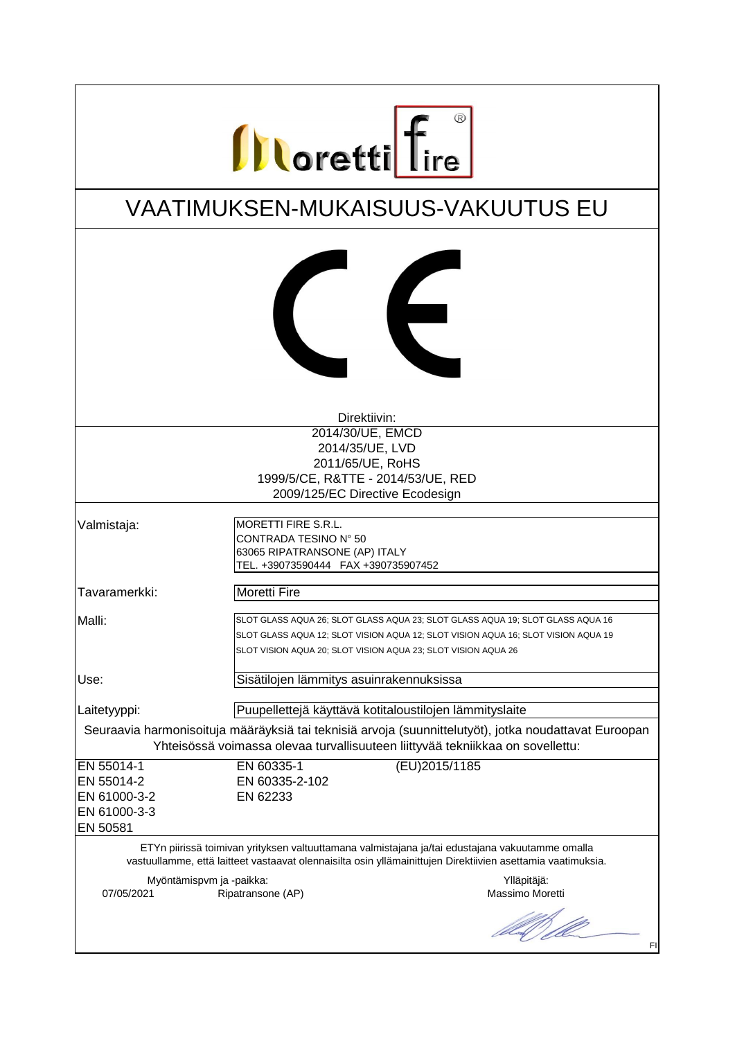| <b>Illoretti</b> fire                                                                                                                                                                   |                                                                                                                                                                                                                                      |  |
|-----------------------------------------------------------------------------------------------------------------------------------------------------------------------------------------|--------------------------------------------------------------------------------------------------------------------------------------------------------------------------------------------------------------------------------------|--|
| <b>VAATIMUKSEN-MUKAISUUS-VAKUUTUS EU</b>                                                                                                                                                |                                                                                                                                                                                                                                      |  |
|                                                                                                                                                                                         | $\epsilon$                                                                                                                                                                                                                           |  |
|                                                                                                                                                                                         | Direktiivin:                                                                                                                                                                                                                         |  |
|                                                                                                                                                                                         | 2014/30/UE, EMCD                                                                                                                                                                                                                     |  |
|                                                                                                                                                                                         | 2014/35/UE, LVD                                                                                                                                                                                                                      |  |
|                                                                                                                                                                                         | 2011/65/UE, RoHS                                                                                                                                                                                                                     |  |
|                                                                                                                                                                                         | 1999/5/CE, R&TTE - 2014/53/UE, RED                                                                                                                                                                                                   |  |
|                                                                                                                                                                                         | 2009/125/EC Directive Ecodesign                                                                                                                                                                                                      |  |
|                                                                                                                                                                                         |                                                                                                                                                                                                                                      |  |
| Valmistaja:                                                                                                                                                                             | MORETTI FIRE S.R.L.<br>CONTRADA TESINO N° 50<br>63065 RIPATRANSONE (AP) ITALY<br>TEL. +39073590444 FAX +390735907452                                                                                                                 |  |
| Tavaramerkki:                                                                                                                                                                           | <b>Moretti Fire</b>                                                                                                                                                                                                                  |  |
| Malli:                                                                                                                                                                                  | SLOT GLASS AQUA 26; SLOT GLASS AQUA 23; SLOT GLASS AQUA 19; SLOT GLASS AQUA 16<br>SLOT GLASS AQUA 12; SLOT VISION AQUA 12; SLOT VISION AQUA 16; SLOT VISION AQUA 19<br>SLOT VISION AQUA 20; SLOT VISION AQUA 23; SLOT VISION AQUA 26 |  |
| Use:                                                                                                                                                                                    | Sisätilojen lämmitys asuinrakennuksissa                                                                                                                                                                                              |  |
| Laitetyyppi:                                                                                                                                                                            | Puupellettejä käyttävä kotitaloustilojen lämmityslaite                                                                                                                                                                               |  |
| Seuraavia harmonisoituja määräyksiä tai teknisiä arvoja (suunnittelutyöt), jotka noudattavat Euroopan<br>Yhteisössä voimassa olevaa turvallisuuteen liittyvää tekniikkaa on sovellettu: |                                                                                                                                                                                                                                      |  |
| EN 55014-1                                                                                                                                                                              | $\overline{EU}$ )2015/1185<br>EN 60335-1                                                                                                                                                                                             |  |
| EN 55014-2                                                                                                                                                                              | EN 60335-2-102                                                                                                                                                                                                                       |  |
| EN 61000-3-2                                                                                                                                                                            | EN 62233                                                                                                                                                                                                                             |  |
| EN 61000-3-3                                                                                                                                                                            |                                                                                                                                                                                                                                      |  |
| EN 50581                                                                                                                                                                                |                                                                                                                                                                                                                                      |  |
|                                                                                                                                                                                         | ETYn piirissä toimivan yrityksen valtuuttamana valmistajana ja/tai edustajana vakuutamme omalla<br>vastuullamme, että laitteet vastaavat olennaisilta osin yllämainittujen Direktiivien asettamia vaatimuksia.                       |  |
| Myöntämispvm ja -paikka:<br>07/05/2021                                                                                                                                                  | Ylläpitäjä:<br>Ripatransone (AP)<br>Massimo Moretti                                                                                                                                                                                  |  |
|                                                                                                                                                                                         | US I<br>FI                                                                                                                                                                                                                           |  |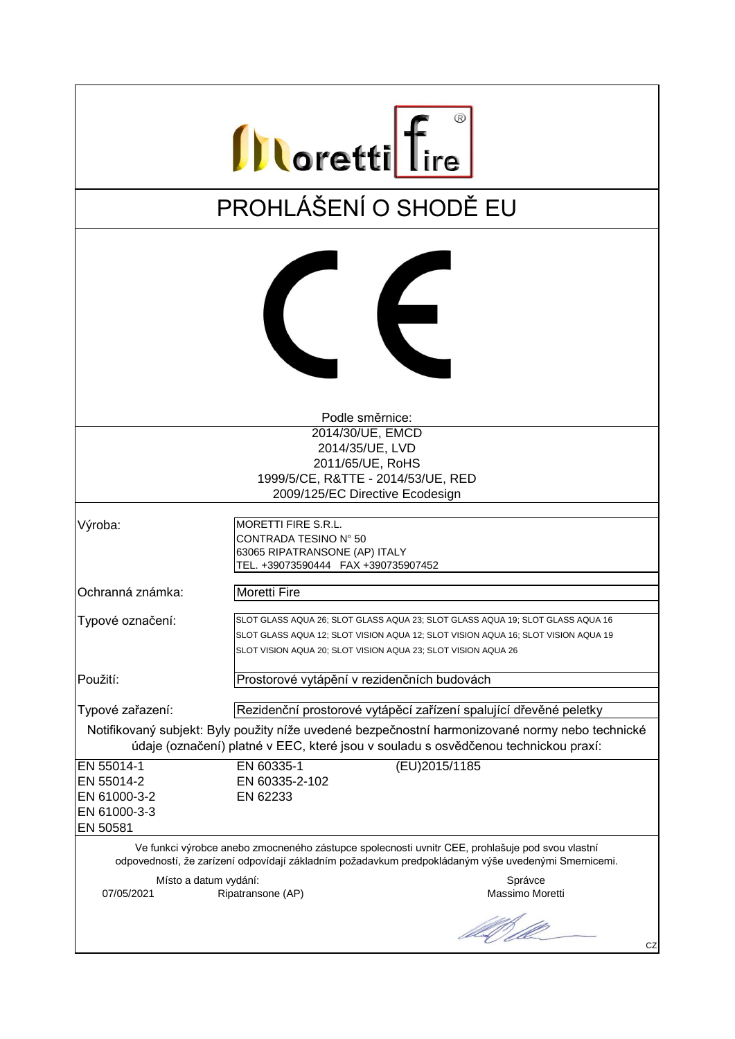| <b>Illoretti</b> fire                                                                                                                                                                                  |                                                                                                                                                                                                                                      |  |
|--------------------------------------------------------------------------------------------------------------------------------------------------------------------------------------------------------|--------------------------------------------------------------------------------------------------------------------------------------------------------------------------------------------------------------------------------------|--|
|                                                                                                                                                                                                        | PROHLÁŠENÍ O SHODĚ EU                                                                                                                                                                                                                |  |
|                                                                                                                                                                                                        | $\epsilon$                                                                                                                                                                                                                           |  |
|                                                                                                                                                                                                        | Podle směrnice:                                                                                                                                                                                                                      |  |
|                                                                                                                                                                                                        | 2014/30/UE, EMCD<br>2014/35/UE, LVD                                                                                                                                                                                                  |  |
|                                                                                                                                                                                                        | 2011/65/UE, RoHS                                                                                                                                                                                                                     |  |
|                                                                                                                                                                                                        | 1999/5/CE, R&TTE - 2014/53/UE, RED                                                                                                                                                                                                   |  |
|                                                                                                                                                                                                        | 2009/125/EC Directive Ecodesign                                                                                                                                                                                                      |  |
| Výroba:                                                                                                                                                                                                | MORETTI FIRE S.R.L.<br>CONTRADA TESINO N° 50<br>63065 RIPATRANSONE (AP) ITALY<br>TEL. +39073590444 FAX +390735907452                                                                                                                 |  |
| Ochranná známka:                                                                                                                                                                                       | <b>Moretti Fire</b>                                                                                                                                                                                                                  |  |
| Typové označení:                                                                                                                                                                                       | SLOT GLASS AQUA 26; SLOT GLASS AQUA 23; SLOT GLASS AQUA 19; SLOT GLASS AQUA 16<br>SLOT GLASS AQUA 12; SLOT VISION AQUA 12; SLOT VISION AQUA 16; SLOT VISION AQUA 19<br>SLOT VISION AQUA 20; SLOT VISION AQUA 23; SLOT VISION AQUA 26 |  |
| Použití:                                                                                                                                                                                               | Prostorové vytápění v rezidenčních budovách                                                                                                                                                                                          |  |
| Typové zařazení:                                                                                                                                                                                       | Rezidenční prostorové vytápěcí zařízení spalující dřevěné peletky                                                                                                                                                                    |  |
| Notifikovaný subjekt: Byly použity níže uvedené bezpečnostní harmonizované normy nebo technické<br>údaje (označení) platné v EEC, které jsou v souladu s osvědčenou technickou praxí:                  |                                                                                                                                                                                                                                      |  |
| EN 55014-1                                                                                                                                                                                             | EN 60335-1<br>(EU)2015/1185                                                                                                                                                                                                          |  |
| EN 55014-2                                                                                                                                                                                             | EN 60335-2-102                                                                                                                                                                                                                       |  |
| EN 61000-3-2                                                                                                                                                                                           | EN 62233                                                                                                                                                                                                                             |  |
| EN 61000-3-3<br>EN 50581                                                                                                                                                                               |                                                                                                                                                                                                                                      |  |
| Ve funkci výrobce anebo zmocneného zástupce spolecnosti uvnitr CEE, prohlašuje pod svou vlastní<br>odpovedností, že zarízení odpovídají základním požadavkum predpokládaným výše uvedenými Smernicemi. |                                                                                                                                                                                                                                      |  |
| Místo a datum vydání:<br>07/05/2021                                                                                                                                                                    | Správce<br>Ripatransone (AP)<br>Massimo Moretti                                                                                                                                                                                      |  |
|                                                                                                                                                                                                        | CZ                                                                                                                                                                                                                                   |  |